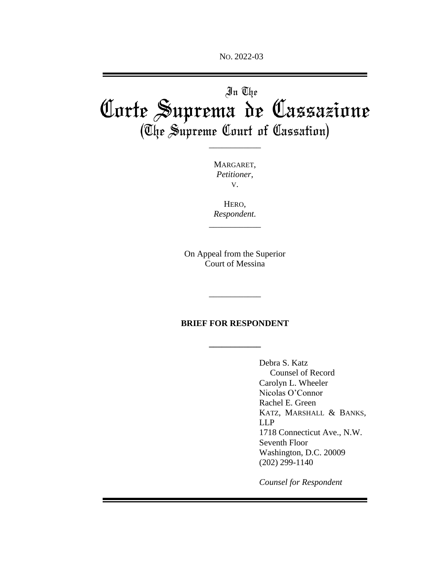NO. 2022-03

# In The Corte Suprema de Cassazione (The Supreme Court of Cassation)

\_\_\_\_\_\_\_\_\_\_\_\_

MARGARET, *Petitioner*, V.

HERO, *Respondent.*

\_\_\_\_\_\_\_\_\_\_\_\_

On Appeal from the Superior Court of Messina

### **BRIEF FOR RESPONDENT**

**\_\_\_\_\_\_\_\_\_\_\_\_**

\_\_\_\_\_\_\_\_\_\_\_\_

Debra S. Katz Counsel of Record Carolyn L. Wheeler Nicolas O'Connor Rachel E. Green KATZ, MARSHALL & BANKS, LLP 1718 Connecticut Ave., N.W. Seventh Floor Washington, D.C. 20009 (202) 299-1140

*Counsel for Respondent*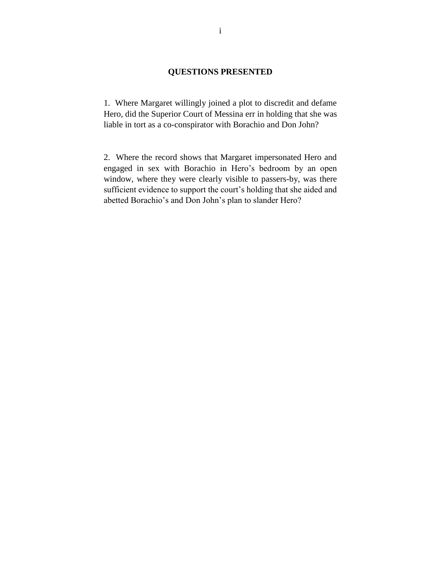### **QUESTIONS PRESENTED**

1. Where Margaret willingly joined a plot to discredit and defame Hero, did the Superior Court of Messina err in holding that she was liable in tort as a co-conspirator with Borachio and Don John?

2. Where the record shows that Margaret impersonated Hero and engaged in sex with Borachio in Hero's bedroom by an open window, where they were clearly visible to passers-by, was there sufficient evidence to support the court's holding that she aided and abetted Borachio's and Don John's plan to slander Hero?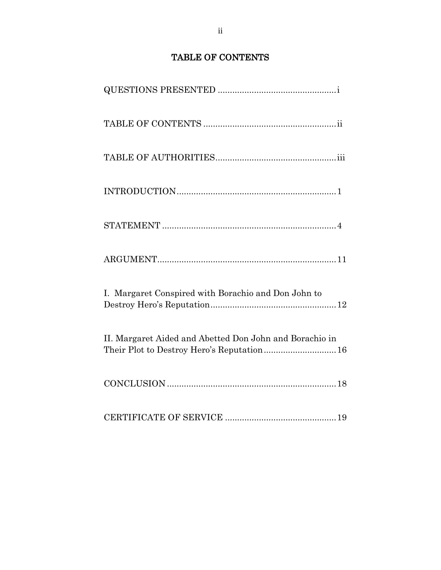# TABLE OF CONTENTS

| $\label{thm:nontriv} \textsc{INTRODUCTION}.\textcolor{gray}{\textcolor{blue}{\textbf{INTRODUCTION}}}\textcolor{gray}{\textcolor{blue}{\textbf{.}}}.$ |
|------------------------------------------------------------------------------------------------------------------------------------------------------|
|                                                                                                                                                      |
|                                                                                                                                                      |
| I. Margaret Conspired with Borachio and Don John to                                                                                                  |
| II. Margaret Aided and Abetted Don John and Borachio in<br>Their Plot to Destroy Hero's Reputation 16                                                |
|                                                                                                                                                      |
|                                                                                                                                                      |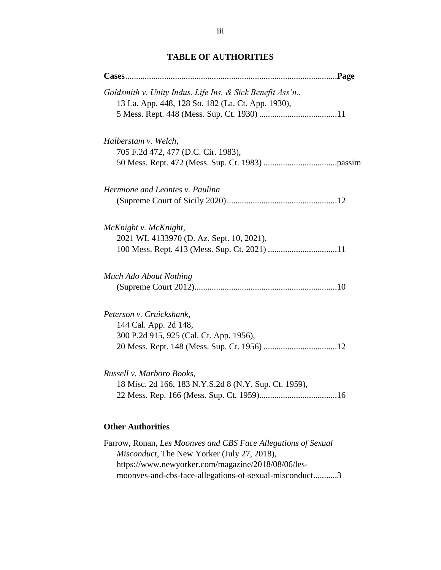## **TABLE OF AUTHORITIES**

# Farrow, Ronan, *Les Moonves and CBS Face Allegations of Sexual Misconduct*, The New Yorker (July 27, 2018), https://www.newyorker.com/magazine/2018/08/06/lesmoonves-and-cbs-face-allegations-of-sexual-misconduct...........3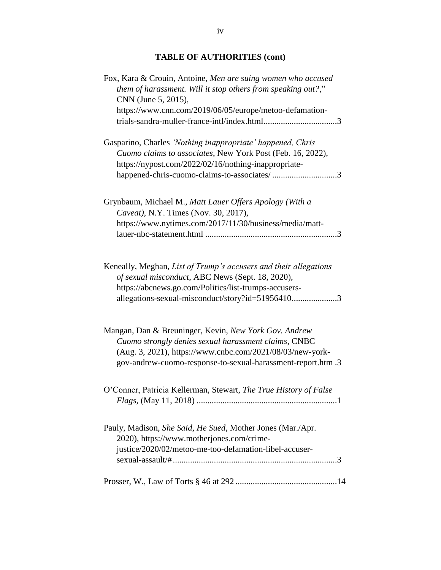# **TABLE OF AUTHORITIES (cont)**

| Fox, Kara & Crouin, Antoine, Men are suing women who accused<br>them of harassment. Will it stop others from speaking out?,"<br>CNN (June 5, 2015),<br>https://www.cnn.com/2019/06/05/europe/metoo-defamation-                             |  |
|--------------------------------------------------------------------------------------------------------------------------------------------------------------------------------------------------------------------------------------------|--|
| Gasparino, Charles 'Nothing inappropriate' happened, Chris<br>Cuomo claims to associates, New York Post (Feb. 16, 2022),<br>https://nypost.com/2022/02/16/nothing-inappropriate-<br>happened-chris-cuomo-claims-to-associates/3            |  |
| Grynbaum, Michael M., Matt Lauer Offers Apology (With a<br>Caveat), N.Y. Times (Nov. 30, 2017),<br>https://www.nytimes.com/2017/11/30/business/media/matt-                                                                                 |  |
| Keneally, Meghan, List of Trump's accusers and their allegations<br>of sexual misconduct, ABC News (Sept. 18, 2020),<br>https://abcnews.go.com/Politics/list-trumps-accusers-<br>allegations-sexual-misconduct/story?id=519564103          |  |
| Mangan, Dan & Breuninger, Kevin, New York Gov. Andrew<br>Cuomo strongly denies sexual harassment claims, CNBC<br>(Aug. 3, 2021), https://www.cnbc.com/2021/08/03/new-york-<br>gov-andrew-cuomo-response-to-sexual-harassment-report.htm .3 |  |
| O'Conner, Patricia Kellerman, Stewart, The True History of False                                                                                                                                                                           |  |
| Pauly, Madison, She Said, He Sued, Mother Jones (Mar./Apr.<br>2020), https://www.motherjones.com/crime-<br>justice/2020/02/metoo-me-too-defamation-libel-accuser-                                                                          |  |
|                                                                                                                                                                                                                                            |  |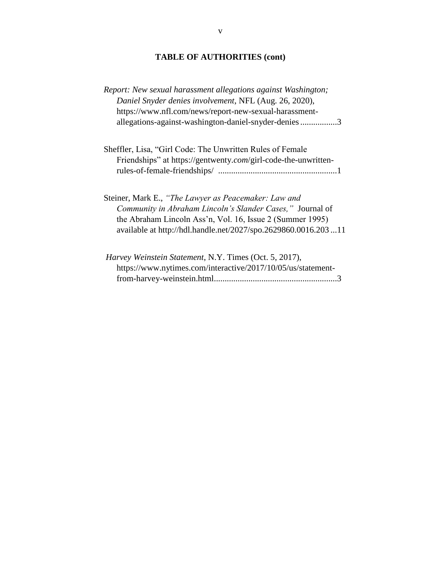# **TABLE OF AUTHORITIES (cont)**

| Report: New sexual harassment allegations against Washington;  |  |
|----------------------------------------------------------------|--|
| Daniel Snyder denies involvement, NFL (Aug. 26, 2020),         |  |
| https://www.nfl.com/news/report-new-sexual-harassment-         |  |
| allegations-against-washington-daniel-snyder-denies3           |  |
| Sheffler, Lisa, "Girl Code: The Unwritten Rules of Female      |  |
| Friendships" at https://gentwenty.com/girl-code-the-unwritten- |  |
|                                                                |  |
| Steiner, Mark E., "The Lawyer as Peacemaker: Law and           |  |
| Community in Abraham Lincoln's Slander Cases," Journal of      |  |
| the Abraham Lincoln Ass'n, Vol. 16, Issue 2 (Summer 1995)      |  |
| available at http://hdl.handle.net/2027/spo.2629860.0016.20311 |  |
| Harvey Weinstein Statement, N.Y. Times (Oct. 5, 2017),         |  |
| https://www.nytimes.com/interactive/2017/10/05/us/statement-   |  |
|                                                                |  |
|                                                                |  |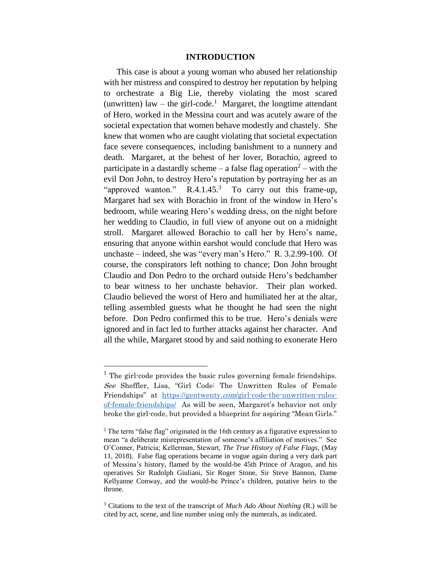#### **INTRODUCTION**

This case is about a young woman who abused her relationship with her mistress and conspired to destroy her reputation by helping to orchestrate a Big Lie, thereby violating the most scared (unwritten) law – the girl-code.<sup>1</sup> Margaret, the longtime attendant of Hero, worked in the Messina court and was acutely aware of the societal expectation that women behave modestly and chastely. She knew that women who are caught violating that societal expectation face severe consequences, including banishment to a nunnery and death. Margaret, at the behest of her lover, Borachio, agreed to participate in a dastardly scheme – a false flag operation<sup>2</sup> – with the evil Don John, to destroy Hero's reputation by portraying her as an "approved wanton."  $R.4.1.45$ .<sup>3</sup> To carry out this frame-up, Margaret had sex with Borachio in front of the window in Hero's bedroom, while wearing Hero's wedding dress, on the night before her wedding to Claudio, in full view of anyone out on a midnight stroll. Margaret allowed Borachio to call her by Hero's name, ensuring that anyone within earshot would conclude that Hero was unchaste – indeed, she was "every man's Hero." R. 3.2.99-100. Of course, the conspirators left nothing to chance; Don John brought Claudio and Don Pedro to the orchard outside Hero's bedchamber to bear witness to her unchaste behavior. Their plan worked. Claudio believed the worst of Hero and humiliated her at the altar, telling assembled guests what he thought he had seen the night before. Don Pedro confirmed this to be true. Hero's denials were ignored and in fact led to further attacks against her character. And all the while, Margaret stood by and said nothing to exonerate Hero

 $1$  The girl-code provides the basic rules governing female friendships. See Sheffler, Lisa, "Girl Code: The Unwritten Rules of Female Friendships" at https://gentwenty.com[/girl-code-the-unwritten-rules](https://gentwenty.com/girl-code-the-unwritten-rules-of-female-friendships/)[of-female-friendships/](https://gentwenty.com/girl-code-the-unwritten-rules-of-female-friendships/) As will be seen, Margaret's behavior not only broke the girl-code, but provided a blueprint for aspiring "Mean Girls."

 $2$  The term "false flag" originated in the 16th century as a figurative expression to mean "a deliberate misrepresentation of someone's affiliation of motives." See O'Conner, Patricia; Kellerman, Stewart, *The True History of False Flags*, (May 11, 2018). False flag operations became in vogue again during a very dark part of Messina's history, flamed by the would-be 45th Prince of Aragon, and his operatives Sir Rudolph Giuliani, Sir Roger Stone, Sir Steve Bannon, Dame Kellyanne Conway, and the would-be Prince's children, putative heirs to the throne.

<sup>3</sup> Citations to the text of the transcript of *Much Ado About Nothing* (R.) will be cited by act, scene, and line number using only the numerals, as indicated.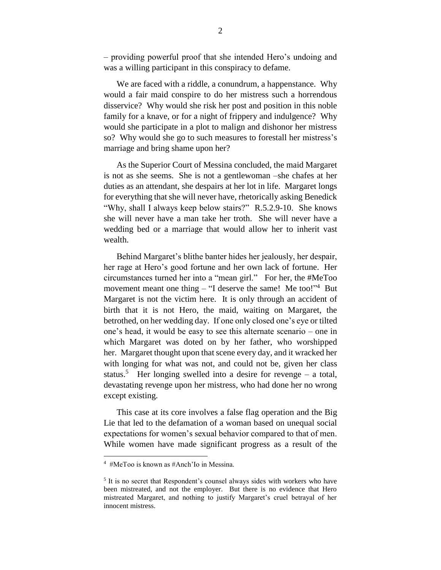– providing powerful proof that she intended Hero's undoing and was a willing participant in this conspiracy to defame.

We are faced with a riddle, a conundrum, a happenstance. Why would a fair maid conspire to do her mistress such a horrendous disservice? Why would she risk her post and position in this noble family for a knave, or for a night of frippery and indulgence? Why would she participate in a plot to malign and dishonor her mistress so? Why would she go to such measures to forestall her mistress's marriage and bring shame upon her?

As the Superior Court of Messina concluded, the maid Margaret is not as she seems. She is not a gentlewoman –she chafes at her duties as an attendant, she despairs at her lot in life. Margaret longs for everything that she will never have, rhetorically asking Benedick "Why, shall I always keep below stairs?" R.5.2.9-10. She knows she will never have a man take her troth. She will never have a wedding bed or a marriage that would allow her to inherit vast wealth.

Behind Margaret's blithe banter hides her jealously, her despair, her rage at Hero's good fortune and her own lack of fortune. Her circumstances turned her into a "mean girl." For her, the #MeToo movement meant one thing  $-$  "I deserve the same! Me too!"<sup>4</sup> But Margaret is not the victim here. It is only through an accident of birth that it is not Hero, the maid, waiting on Margaret, the betrothed, on her wedding day. If one only closed one's eye or tilted one's head, it would be easy to see this alternate scenario – one in which Margaret was doted on by her father, who worshipped her. Margaret thought upon that scene every day, and it wracked her with longing for what was not, and could not be, given her class status.<sup>5</sup> Her longing swelled into a desire for revenge – a total, devastating revenge upon her mistress, who had done her no wrong except existing.

This case at its core involves a false flag operation and the Big Lie that led to the defamation of a woman based on unequal social expectations for women's sexual behavior compared to that of men. While women have made significant progress as a result of the

<sup>4</sup> #MeToo is known as #Anch'Io in Messina.

<sup>&</sup>lt;sup>5</sup> It is no secret that Respondent's counsel always sides with workers who have been mistreated, and not the employer. But there is no evidence that Hero mistreated Margaret, and nothing to justify Margaret's cruel betrayal of her innocent mistress.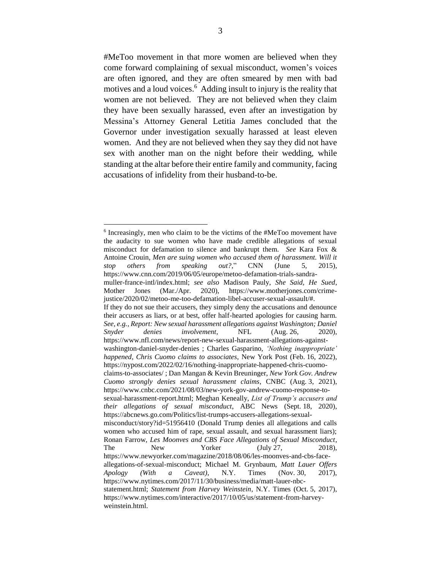#MeToo movement in that more women are believed when they come forward complaining of sexual misconduct, women's voices are often ignored, and they are often smeared by men with bad motives and a loud voices. 6 Adding insult to injury is the reality that women are not believed. They are not believed when they claim they have been sexually harassed, even after an investigation by Messina's Attorney General Letitia James concluded that the Governor under investigation sexually harassed at least eleven women. And they are not believed when they say they did not have sex with another man on the night before their wedding, while standing at the altar before their entire family and community, facing accusations of infidelity from their husband-to-be.

<sup>&</sup>lt;sup>6</sup> Increasingly, men who claim to be the victims of the #MeToo movement have the audacity to sue women who have made credible allegations of sexual misconduct for defamation to silence and bankrupt them. *See* Kara Fox & Antoine Crouin, *Men are suing women who accused them of harassment. Will it stop others from speaking out?*," CNN (June 5, 2015), https://www.cnn.com/2019/06/05/europe/metoo-defamation-trials-sandramuller-france-intl/index.html; *see also* Madison Pauly, *She Said, He Sued*,

Mother Jones (Mar./Apr. 2020), https://www.motherjones.com/crimejustice/2020/02/metoo-me-too-defamation-libel-accuser-sexual-assault/#.

If they do not sue their accusers, they simply deny the accusations and denounce their accusers as liars, or at best, offer half-hearted apologies for causing harm. *See, e.g.*, *Report: New sexual harassment allegations against Washington; Daniel Snyder denies involvement*, NFL (Aug. 26, 2020), https://www.nfl.com/news/report-new-sexual-harassment-allegations-againstwashington-daniel-snyder-denies ; Charles Gasparino, *'Nothing inappropriate' happened, Chris Cuomo claims to associates*, New York Post (Feb. 16, 2022),

https://nypost.com/2022/02/16/nothing-inappropriate-happened-chris-cuomoclaims-to-associates/ ; Dan Mangan & Kevin Breuninger, *New York Gov. Andrew* 

*Cuomo strongly denies sexual harassment claims*, CNBC (Aug. 3, 2021), https://www.cnbc.com/2021/08/03/new-york-gov-andrew-cuomo-response-to-

sexual-harassment-report.html; Meghan Keneally, *List of Trump's accusers and their allegations of sexual misconduct*, ABC News (Sept. 18, 2020), https://abcnews.go.com/Politics/list-trumps-accusers-allegations-sexual-

misconduct/story?id=51956410 (Donald Trump denies all allegations and calls women who accused him of rape, sexual assault, and sexual harassment liars); Ronan Farrow, *Les Moonves and CBS Face Allegations of Sexual Misconduct*, The New Yorker (July 27, 2018), https://www.newyorker.com/magazine/2018/08/06/les-moonves-and-cbs-faceallegations-of-sexual-misconduct; Michael M. Grynbaum, *Matt Lauer Offers Apology (With a Caveat)*, N.Y. Times (Nov. 30, 2017), https://www.nytimes.com/2017/11/30/business/media/matt-lauer-nbcstatement.html; *Statement from Harvey Weinstein*, N.Y. Times (Oct. 5, 2017), https://www.nytimes.com/interactive/2017/10/05/us/statement-from-harveyweinstein.html.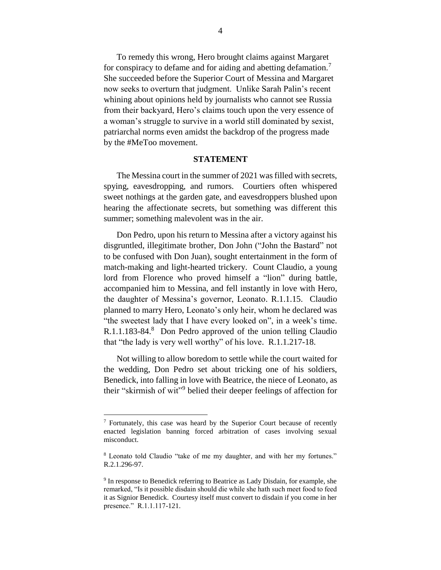To remedy this wrong, Hero brought claims against Margaret for conspiracy to defame and for aiding and abetting defamation.<sup>7</sup> She succeeded before the Superior Court of Messina and Margaret now seeks to overturn that judgment. Unlike Sarah Palin's recent whining about opinions held by journalists who cannot see Russia from their backyard, Hero's claims touch upon the very essence of a woman's struggle to survive in a world still dominated by sexist, patriarchal norms even amidst the backdrop of the progress made by the #MeToo movement.

#### **STATEMENT**

The Messina court in the summer of 2021 was filled with secrets, spying, eavesdropping, and rumors. Courtiers often whispered sweet nothings at the garden gate, and eavesdroppers blushed upon hearing the affectionate secrets, but something was different this summer; something malevolent was in the air.

Don Pedro, upon his return to Messina after a victory against his disgruntled, illegitimate brother, Don John ("John the Bastard" not to be confused with Don Juan), sought entertainment in the form of match-making and light-hearted trickery. Count Claudio, a young lord from Florence who proved himself a "lion" during battle, accompanied him to Messina, and fell instantly in love with Hero, the daughter of Messina's governor, Leonato. R.1.1.15. Claudio planned to marry Hero, Leonato's only heir, whom he declared was "the sweetest lady that I have every looked on", in a week's time. R.1.1.183-84. 8 Don Pedro approved of the union telling Claudio that "the lady is very well worthy" of his love. R.1.1.217-18.

Not willing to allow boredom to settle while the court waited for the wedding, Don Pedro set about tricking one of his soldiers, Benedick, into falling in love with Beatrice, the niece of Leonato, as their "skirmish of wit"<sup>9</sup> belied their deeper feelings of affection for

<sup>7</sup> Fortunately, this case was heard by the Superior Court because of recently enacted legislation banning forced arbitration of cases involving sexual misconduct.

<sup>8</sup> Leonato told Claudio "take of me my daughter, and with her my fortunes." R.2.1.296-97.

<sup>&</sup>lt;sup>9</sup> In response to Benedick referring to Beatrice as Lady Disdain, for example, she remarked, "Is it possible disdain should die while she hath such meet food to feed it as Signior Benedick. Courtesy itself must convert to disdain if you come in her presence." R.1.1.117-121.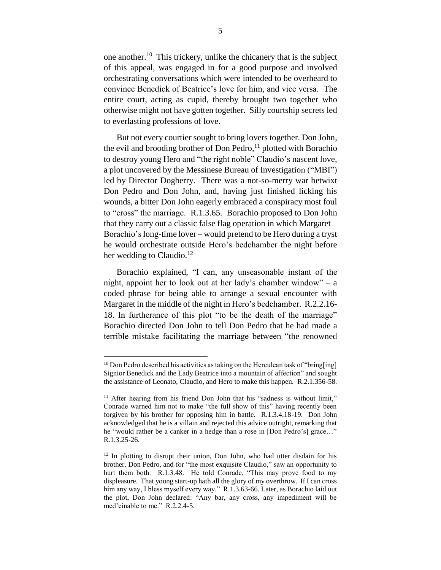one another. <sup>10</sup> This trickery, unlike the chicanery that is the subject of this appeal, was engaged in for a good purpose and involved orchestrating conversations which were intended to be overheard to convince Benedick of Beatrice's love for him, and vice versa. The entire court, acting as cupid, thereby brought two together who otherwise might not have gotten together. Silly courtship secrets led to everlasting professions of love.

But not every courtier sought to bring lovers together. Don John, the evil and brooding brother of Don Pedro, $^{11}$  plotted with Borachio to destroy young Hero and "the right noble" Claudio's nascent love, a plot uncovered by the Messinese Bureau of Investigation ("MBI") led by Director Dogberry. There was a not-so-merry war betwixt Don Pedro and Don John, and, having just finished licking his wounds, a bitter Don John eagerly embraced a conspiracy most foul to "cross" the marriage. R.1.3.65. Borachio proposed to Don John that they carry out a classic false flag operation in which Margaret – Borachio's long-time lover – would pretend to be Hero during a tryst he would orchestrate outside Hero's bedchamber the night before her wedding to Claudio.<sup>12</sup>

Borachio explained, "I can, any unseasonable instant of the night, appoint her to look out at her lady's chamber window" – a coded phrase for being able to arrange a sexual encounter with Margaret in the middle of the night in Hero's bedchamber. R.2.2.16- 18. In furtherance of this plot "to be the death of the marriage" Borachio directed Don John to tell Don Pedro that he had made a terrible mistake facilitating the marriage between "the renowned

 $10$  Don Pedro described his activities as taking on the Herculean task of "bring[ing] Signior Benedick and the Lady Beatrice into a mountain of affection" and sought the assistance of Leonato, Claudio, and Hero to make this happen. R.2.1.356-58.

<sup>&</sup>lt;sup>11</sup> After hearing from his friend Don John that his "sadness is without limit," Conrade warned him not to make "the full show of this" having recently been forgiven by his brother for opposing him in battle. R.1.3.4,18-19. Don John acknowledged that he is a villain and rejected this advice outright, remarking that he "would rather be a canker in a hedge than a rose in [Don Pedro's] grace…" R.1.3.25-26.

 $12$  In plotting to disrupt their union, Don John, who had utter disdain for his brother, Don Pedro, and for "the most exquisite Claudio," saw an opportunity to hurt them both. R.1.3.48. He told Conrade, "This may prove food to my displeasure. That young start-up hath all the glory of my overthrow. If I can cross him any way, I bless myself every way." R.1.3.63-66. Later, as Borachio laid out the plot, Don John declared: "Any bar, any cross, any impediment will be med'cinable to me." R.2.2.4-5.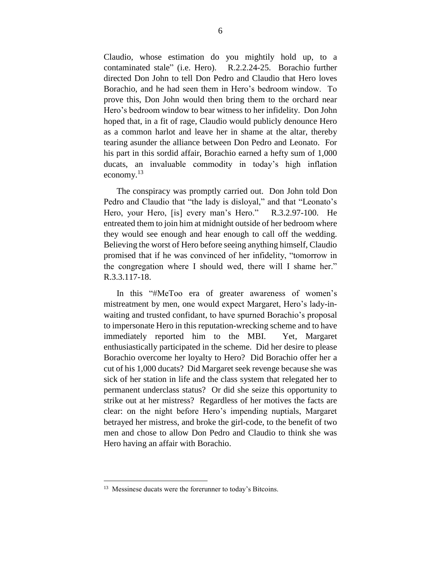Claudio, whose estimation do you mightily hold up, to a contaminated stale" (i.e. Hero). R.2.2.24-25. Borachio further directed Don John to tell Don Pedro and Claudio that Hero loves Borachio, and he had seen them in Hero's bedroom window. To prove this, Don John would then bring them to the orchard near Hero's bedroom window to bear witness to her infidelity. Don John hoped that, in a fit of rage, Claudio would publicly denounce Hero as a common harlot and leave her in shame at the altar, thereby tearing asunder the alliance between Don Pedro and Leonato. For his part in this sordid affair, Borachio earned a hefty sum of 1,000 ducats, an invaluable commodity in today's high inflation economy. $^{13}$ 

The conspiracy was promptly carried out. Don John told Don Pedro and Claudio that "the lady is disloyal," and that "Leonato's Hero, your Hero, [is] every man's Hero." R.3.2.97-100. He entreated them to join him at midnight outside of her bedroom where they would see enough and hear enough to call off the wedding. Believing the worst of Hero before seeing anything himself, Claudio promised that if he was convinced of her infidelity, "tomorrow in the congregation where I should wed, there will I shame her." R.3.3.117-18.

In this "#MeToo era of greater awareness of women's mistreatment by men, one would expect Margaret, Hero's lady-inwaiting and trusted confidant, to have spurned Borachio's proposal to impersonate Hero in this reputation-wrecking scheme and to have immediately reported him to the MBI. Yet, Margaret enthusiastically participated in the scheme. Did her desire to please Borachio overcome her loyalty to Hero? Did Borachio offer her a cut of his 1,000 ducats? Did Margaret seek revenge because she was sick of her station in life and the class system that relegated her to permanent underclass status? Or did she seize this opportunity to strike out at her mistress? Regardless of her motives the facts are clear: on the night before Hero's impending nuptials, Margaret betrayed her mistress, and broke the girl-code, to the benefit of two men and chose to allow Don Pedro and Claudio to think she was Hero having an affair with Borachio.

<sup>&</sup>lt;sup>13</sup> Messinese ducats were the forerunner to today's Bitcoins.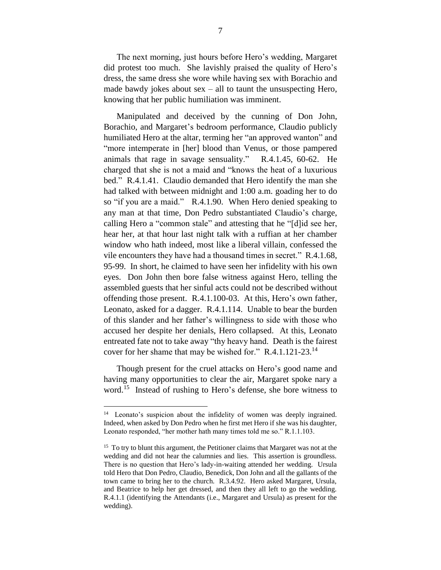The next morning, just hours before Hero's wedding, Margaret did protest too much. She lavishly praised the quality of Hero's dress, the same dress she wore while having sex with Borachio and made bawdy jokes about  $sex - all$  to taunt the unsuspecting Hero, knowing that her public humiliation was imminent.

Manipulated and deceived by the cunning of Don John, Borachio, and Margaret's bedroom performance, Claudio publicly humiliated Hero at the altar, terming her "an approved wanton" and "more intemperate in [her] blood than Venus, or those pampered animals that rage in savage sensuality." R.4.1.45, 60-62. He charged that she is not a maid and "knows the heat of a luxurious bed." R.4.1.41. Claudio demanded that Hero identify the man she had talked with between midnight and 1:00 a.m. goading her to do so "if you are a maid." R.4.1.90. When Hero denied speaking to any man at that time, Don Pedro substantiated Claudio's charge, calling Hero a "common stale" and attesting that he "[d]id see her, hear her, at that hour last night talk with a ruffian at her chamber window who hath indeed, most like a liberal villain, confessed the vile encounters they have had a thousand times in secret." R.4.1.68, 95-99. In short, he claimed to have seen her infidelity with his own eyes. Don John then bore false witness against Hero, telling the assembled guests that her sinful acts could not be described without offending those present. R.4.1.100-03. At this, Hero's own father, Leonato, asked for a dagger. R.4.1.114. Unable to bear the burden of this slander and her father's willingness to side with those who accused her despite her denials, Hero collapsed. At this, Leonato entreated fate not to take away "thy heavy hand. Death is the fairest cover for her shame that may be wished for."  $R.A.1.121-23.^{14}$ 

Though present for the cruel attacks on Hero's good name and having many opportunities to clear the air, Margaret spoke nary a word.<sup>15</sup> Instead of rushing to Hero's defense, she bore witness to

<sup>14</sup> Leonato's suspicion about the infidelity of women was deeply ingrained. Indeed, when asked by Don Pedro when he first met Hero if she was his daughter, Leonato responded, "her mother hath many times told me so." R.1.1.103.

<sup>&</sup>lt;sup>15</sup> To try to blunt this argument, the Petitioner claims that Margaret was not at the wedding and did not hear the calumnies and lies. This assertion is groundless. There is no question that Hero's lady-in-waiting attended her wedding. Ursula told Hero that Don Pedro, Claudio, Benedick, Don John and all the gallants of the town came to bring her to the church. R.3.4.92. Hero asked Margaret, Ursula, and Beatrice to help her get dressed, and then they all left to go the wedding. R.4.1.1 (identifying the Attendants (i.e., Margaret and Ursula) as present for the wedding).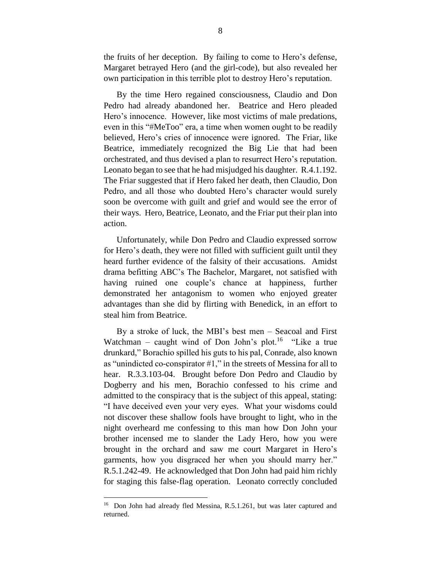the fruits of her deception. By failing to come to Hero's defense, Margaret betrayed Hero (and the girl-code), but also revealed her own participation in this terrible plot to destroy Hero's reputation.

By the time Hero regained consciousness, Claudio and Don Pedro had already abandoned her. Beatrice and Hero pleaded Hero's innocence. However, like most victims of male predations, even in this "#MeToo" era, a time when women ought to be readily believed, Hero's cries of innocence were ignored. The Friar, like Beatrice, immediately recognized the Big Lie that had been orchestrated, and thus devised a plan to resurrect Hero's reputation. Leonato began to see that he had misjudged his daughter. R.4.1.192. The Friar suggested that if Hero faked her death, then Claudio, Don Pedro, and all those who doubted Hero's character would surely soon be overcome with guilt and grief and would see the error of their ways. Hero, Beatrice, Leonato, and the Friar put their plan into action.

Unfortunately, while Don Pedro and Claudio expressed sorrow for Hero's death, they were not filled with sufficient guilt until they heard further evidence of the falsity of their accusations. Amidst drama befitting ABC's The Bachelor, Margaret, not satisfied with having ruined one couple's chance at happiness, further demonstrated her antagonism to women who enjoyed greater advantages than she did by flirting with Benedick, in an effort to steal him from Beatrice.

By a stroke of luck, the MBI's best men – Seacoal and First Watchman – caught wind of Don John's plot.<sup>16</sup> "Like a true drunkard," Borachio spilled his guts to his pal, Conrade, also known as "unindicted co-conspirator #1," in the streets of Messina for all to hear. R.3.3.103-04. Brought before Don Pedro and Claudio by Dogberry and his men, Borachio confessed to his crime and admitted to the conspiracy that is the subject of this appeal, stating: "I have deceived even your very eyes. What your wisdoms could not discover these shallow fools have brought to light, who in the night overheard me confessing to this man how Don John your brother incensed me to slander the Lady Hero, how you were brought in the orchard and saw me court Margaret in Hero's garments, how you disgraced her when you should marry her." R.5.1.242-49. He acknowledged that Don John had paid him richly for staging this false-flag operation. Leonato correctly concluded

<sup>16</sup> Don John had already fled Messina, R.5.1.261, but was later captured and returned.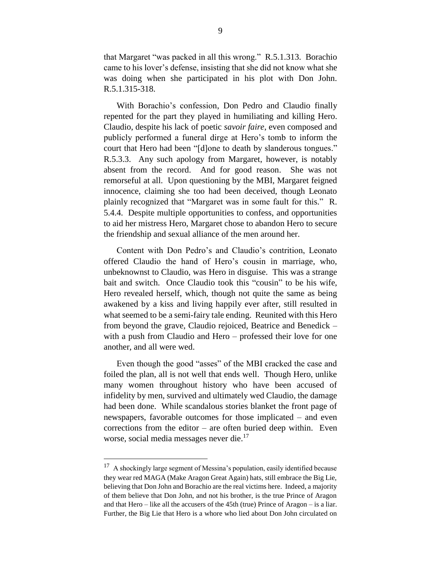that Margaret "was packed in all this wrong." R.5.1.313. Borachio came to his lover's defense, insisting that she did not know what she was doing when she participated in his plot with Don John. R.5.1.315-318.

With Borachio's confession, Don Pedro and Claudio finally repented for the part they played in humiliating and killing Hero. Claudio, despite his lack of poetic *savoir faire*, even composed and publicly performed a funeral dirge at Hero's tomb to inform the court that Hero had been "[d]one to death by slanderous tongues." R.5.3.3. Any such apology from Margaret, however, is notably absent from the record. And for good reason. She was not remorseful at all. Upon questioning by the MBI, Margaret feigned innocence, claiming she too had been deceived, though Leonato plainly recognized that "Margaret was in some fault for this." R. 5.4.4. Despite multiple opportunities to confess, and opportunities to aid her mistress Hero, Margaret chose to abandon Hero to secure the friendship and sexual alliance of the men around her.

Content with Don Pedro's and Claudio's contrition, Leonato offered Claudio the hand of Hero's cousin in marriage, who, unbeknownst to Claudio, was Hero in disguise. This was a strange bait and switch. Once Claudio took this "cousin" to be his wife, Hero revealed herself, which, though not quite the same as being awakened by a kiss and living happily ever after, still resulted in what seemed to be a semi-fairy tale ending. Reunited with this Hero from beyond the grave, Claudio rejoiced, Beatrice and Benedick – with a push from Claudio and Hero – professed their love for one another, and all were wed.

Even though the good "asses" of the MBI cracked the case and foiled the plan, all is not well that ends well. Though Hero, unlike many women throughout history who have been accused of infidelity by men, survived and ultimately wed Claudio, the damage had been done. While scandalous stories blanket the front page of newspapers, favorable outcomes for those implicated – and even corrections from the editor – are often buried deep within. Even worse, social media messages never die. 17

 $17$  A shockingly large segment of Messina's population, easily identified because they wear red MAGA (Make Aragon Great Again) hats, still embrace the Big Lie, believing that Don John and Borachio are the real victims here. Indeed, a majority of them believe that Don John, and not his brother, is the true Prince of Aragon and that Hero – like all the accusers of the 45th (true) Prince of Aragon – is a liar. Further, the Big Lie that Hero is a whore who lied about Don John circulated on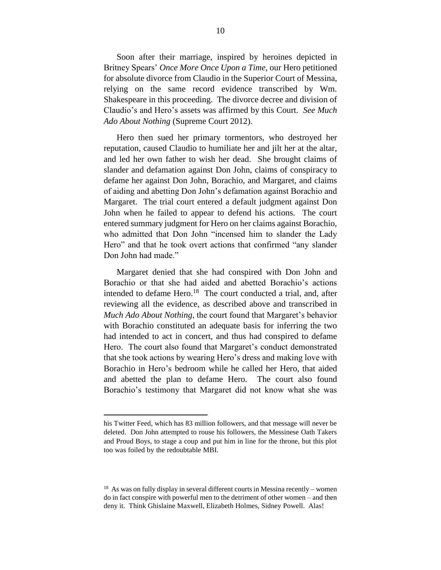Soon after their marriage, inspired by heroines depicted in Britney Spears' *Once More Once Upon a Time,* our Hero petitioned for absolute divorce from Claudio in the Superior Court of Messina, relying on the same record evidence transcribed by Wm. Shakespeare in this proceeding. The divorce decree and division of Claudio's and Hero's assets was affirmed by this Court. *See Much Ado About Nothing* (Supreme Court 2012).

Hero then sued her primary tormentors, who destroyed her reputation, caused Claudio to humiliate her and jilt her at the altar, and led her own father to wish her dead. She brought claims of slander and defamation against Don John, claims of conspiracy to defame her against Don John, Borachio, and Margaret, and claims of aiding and abetting Don John's defamation against Borachio and Margaret. The trial court entered a default judgment against Don John when he failed to appear to defend his actions. The court entered summary judgment for Hero on her claims against Borachio, who admitted that Don John "incensed him to slander the Lady Hero" and that he took overt actions that confirmed "any slander Don John had made."

Margaret denied that she had conspired with Don John and Borachio or that she had aided and abetted Borachio's actions intended to defame Hero.<sup>18</sup> The court conducted a trial, and, after reviewing all the evidence, as described above and transcribed in *Much Ado About Nothing*, the court found that Margaret's behavior with Borachio constituted an adequate basis for inferring the two had intended to act in concert, and thus had conspired to defame Hero. The court also found that Margaret's conduct demonstrated that she took actions by wearing Hero's dress and making love with Borachio in Hero's bedroom while he called her Hero, that aided and abetted the plan to defame Hero. The court also found Borachio's testimony that Margaret did not know what she was

his Twitter Feed, which has 83 million followers, and that message will never be deleted. Don John attempted to rouse his followers, the Messinese Oath Takers and Proud Boys, to stage a coup and put him in line for the throne, but this plot too was foiled by the redoubtable MBI.

 $18$  As was on fully display in several different courts in Messina recently – women do in fact conspire with powerful men to the detriment of other women – and then deny it. Think Ghislaine Maxwell, Elizabeth Holmes, Sidney Powell. Alas!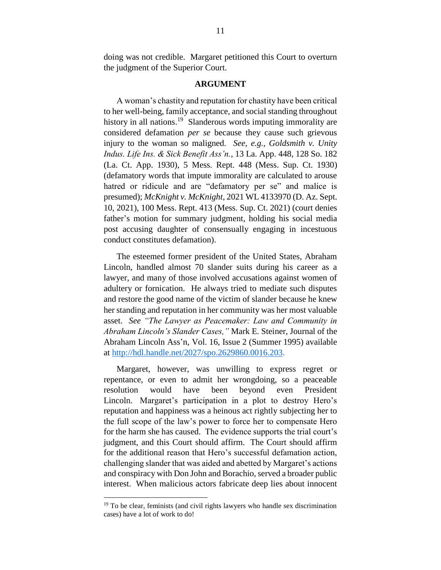doing was not credible. Margaret petitioned this Court to overturn the judgment of the Superior Court.

#### **ARGUMENT**

A woman's chastity and reputation for chastity have been critical to her well-being, family acceptance, and social standing throughout history in all nations.<sup>19</sup> Slanderous words imputing immorality are considered defamation *per se* because they cause such grievous injury to the woman so maligned. *See*, *e.g., Goldsmith v. Unity Indus. Life Ins. & Sick Benefit Ass'n.*, 13 La. App. 448, 128 So. 182 (La. Ct. App. 1930), 5 Mess. Rept. 448 (Mess. Sup. Ct. 1930) (defamatory words that impute immorality are calculated to arouse hatred or ridicule and are "defamatory per se" and malice is presumed); *McKnight v. McKnight*, 2021 WL 4133970 (D. Az. Sept. 10, 2021), 100 Mess. Rept. 413 (Mess. Sup. Ct. 2021) (court denies father's motion for summary judgment, holding his social media post accusing daughter of consensually engaging in incestuous conduct constitutes defamation).

The esteemed former president of the United States, Abraham Lincoln, handled almost 70 slander suits during his career as a lawyer, and many of those involved accusations against women of adultery or fornication. He always tried to mediate such disputes and restore the good name of the victim of slander because he knew her standing and reputation in her community was her most valuable asset. *See "The Lawyer as Peacemaker: Law and Community in Abraham Lincoln's Slander Cases,"* Mark E. Steiner, Journal of the Abraham Lincoln Ass'n, Vol. 16, Issue 2 (Summer 1995) available at [http://hdl.handle.net/2027/spo.2629860.0016.203.](http://hdl.handle.net/2027/spo.2629860.0016.203)

Margaret, however, was unwilling to express regret or repentance, or even to admit her wrongdoing, so a peaceable resolution would have been beyond even President Lincoln. Margaret's participation in a plot to destroy Hero's reputation and happiness was a heinous act rightly subjecting her to the full scope of the law's power to force her to compensate Hero for the harm she has caused. The evidence supports the trial court's judgment, and this Court should affirm. The Court should affirm for the additional reason that Hero's successful defamation action, challenging slander that was aided and abetted by Margaret's actions and conspiracy with Don John and Borachio, served a broader public interest. When malicious actors fabricate deep lies about innocent

 $19$  To be clear, feminists (and civil rights lawyers who handle sex discrimination cases) have a lot of work to do!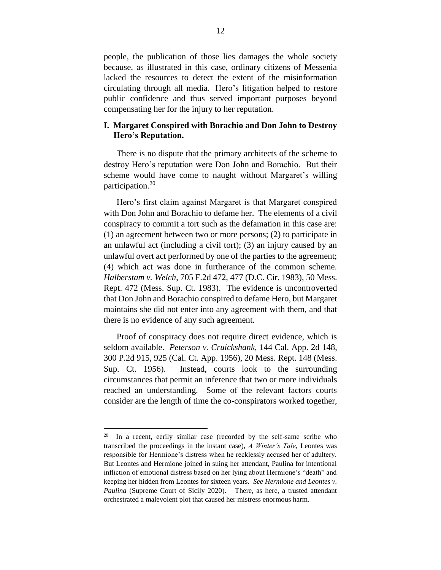people, the publication of those lies damages the whole society because, as illustrated in this case, ordinary citizens of Messenia lacked the resources to detect the extent of the misinformation circulating through all media. Hero's litigation helped to restore public confidence and thus served important purposes beyond compensating her for the injury to her reputation.

### **I. Margaret Conspired with Borachio and Don John to Destroy Hero's Reputation.**

There is no dispute that the primary architects of the scheme to destroy Hero's reputation were Don John and Borachio. But their scheme would have come to naught without Margaret's willing participation.<sup>20</sup>

Hero's first claim against Margaret is that Margaret conspired with Don John and Borachio to defame her. The elements of a civil conspiracy to commit a tort such as the defamation in this case are: (1) an agreement between two or more persons; (2) to participate in an unlawful act (including a civil tort); (3) an injury caused by an unlawful overt act performed by one of the parties to the agreement; (4) which act was done in furtherance of the common scheme. *Halberstam v. Welch*, 705 F.2d 472, 477 (D.C. Cir. 1983), 50 Mess. Rept. 472 (Mess. Sup. Ct. 1983). The evidence is uncontroverted that Don John and Borachio conspired to defame Hero, but Margaret maintains she did not enter into any agreement with them, and that there is no evidence of any such agreement.

Proof of conspiracy does not require direct evidence, which is seldom available. *Peterson v. Cruickshank*, 144 Cal. App. 2d 148, 300 P.2d 915, 925 (Cal. Ct. App. 1956), 20 Mess. Rept. 148 (Mess. Sup. Ct. 1956). Instead, courts look to the surrounding circumstances that permit an inference that two or more individuals reached an understanding. Some of the relevant factors courts consider are the length of time the co-conspirators worked together,

<sup>20</sup> In a recent, eerily similar case (recorded by the self-same scribe who transcribed the proceedings in the instant case), *A Winter's Tale*, Leontes was responsible for Hermione's distress when he recklessly accused her of adultery. But Leontes and Hermione joined in suing her attendant, Paulina for intentional infliction of emotional distress based on her lying about Hermione's "death" and keeping her hidden from Leontes for sixteen years. *See Hermione and Leontes v. Paulina* (Supreme Court of Sicily 2020). There, as here, a trusted attendant orchestrated a malevolent plot that caused her mistress enormous harm.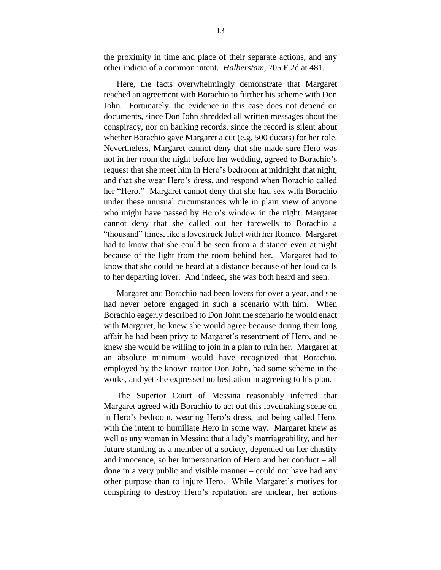the proximity in time and place of their separate actions, and any other indicia of a common intent. *Halberstam*, 705 F.2d at 481.

Here, the facts overwhelmingly demonstrate that Margaret reached an agreement with Borachio to further his scheme with Don John. Fortunately, the evidence in this case does not depend on documents, since Don John shredded all written messages about the conspiracy, nor on banking records, since the record is silent about whether Borachio gave Margaret a cut (e.g. 500 ducats) for her role. Nevertheless, Margaret cannot deny that she made sure Hero was not in her room the night before her wedding, agreed to Borachio's request that she meet him in Hero's bedroom at midnight that night, and that she wear Hero's dress, and respond when Borachio called her "Hero." Margaret cannot deny that she had sex with Borachio under these unusual circumstances while in plain view of anyone who might have passed by Hero's window in the night. Margaret cannot deny that she called out her farewells to Borachio a "thousand" times, like a lovestruck Juliet with her Romeo. Margaret had to know that she could be seen from a distance even at night because of the light from the room behind her. Margaret had to know that she could be heard at a distance because of her loud calls to her departing lover. And indeed, she was both heard and seen.

Margaret and Borachio had been lovers for over a year, and she had never before engaged in such a scenario with him. When Borachio eagerly described to Don John the scenario he would enact with Margaret, he knew she would agree because during their long affair he had been privy to Margaret's resentment of Hero, and he knew she would be willing to join in a plan to ruin her. Margaret at an absolute minimum would have recognized that Borachio, employed by the known traitor Don John, had some scheme in the works, and yet she expressed no hesitation in agreeing to his plan.

The Superior Court of Messina reasonably inferred that Margaret agreed with Borachio to act out this lovemaking scene on in Hero's bedroom, wearing Hero's dress, and being called Hero, with the intent to humiliate Hero in some way. Margaret knew as well as any woman in Messina that a lady's marriageability, and her future standing as a member of a society, depended on her chastity and innocence, so her impersonation of Hero and her conduct – all done in a very public and visible manner – could not have had any other purpose than to injure Hero. While Margaret's motives for conspiring to destroy Hero's reputation are unclear, her actions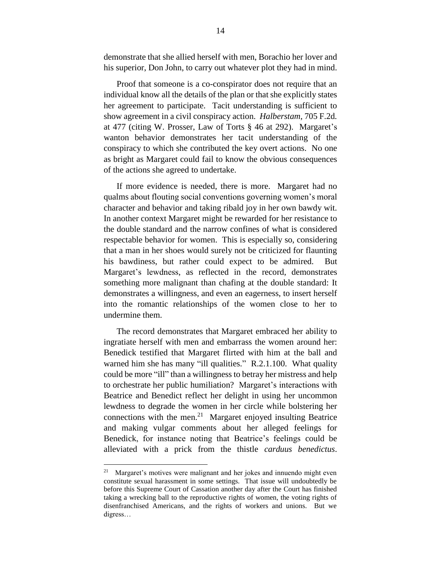demonstrate that she allied herself with men, Borachio her lover and his superior, Don John, to carry out whatever plot they had in mind.

Proof that someone is a co-conspirator does not require that an individual know all the details of the plan or that she explicitly states her agreement to participate. Tacit understanding is sufficient to show agreement in a civil conspiracy action. *Halberstam*, 705 F.2d*.* at 477 (citing W. Prosser, Law of Torts § 46 at 292). Margaret's wanton behavior demonstrates her tacit understanding of the conspiracy to which she contributed the key overt actions. No one as bright as Margaret could fail to know the obvious consequences of the actions she agreed to undertake.

If more evidence is needed, there is more. Margaret had no qualms about flouting social conventions governing women's moral character and behavior and taking ribald joy in her own bawdy wit. In another context Margaret might be rewarded for her resistance to the double standard and the narrow confines of what is considered respectable behavior for women. This is especially so, considering that a man in her shoes would surely not be criticized for flaunting his bawdiness, but rather could expect to be admired. But Margaret's lewdness, as reflected in the record, demonstrates something more malignant than chafing at the double standard: It demonstrates a willingness, and even an eagerness, to insert herself into the romantic relationships of the women close to her to undermine them.

The record demonstrates that Margaret embraced her ability to ingratiate herself with men and embarrass the women around her: Benedick testified that Margaret flirted with him at the ball and warned him she has many "ill qualities." R.2.1.100. What quality could be more "ill" than a willingness to betray her mistress and help to orchestrate her public humiliation? Margaret's interactions with Beatrice and Benedict reflect her delight in using her uncommon lewdness to degrade the women in her circle while bolstering her connections with the men.<sup>21</sup> Margaret enjoyed insulting Beatrice and making vulgar comments about her alleged feelings for Benedick, for instance noting that Beatrice's feelings could be alleviated with a prick from the thistle *carduus benedictus*.

<sup>&</sup>lt;sup>21</sup> Margaret's motives were malignant and her jokes and innuendo might even constitute sexual harassment in some settings. That issue will undoubtedly be before this Supreme Court of Cassation another day after the Court has finished taking a wrecking ball to the reproductive rights of women, the voting rights of disenfranchised Americans, and the rights of workers and unions. But we digress…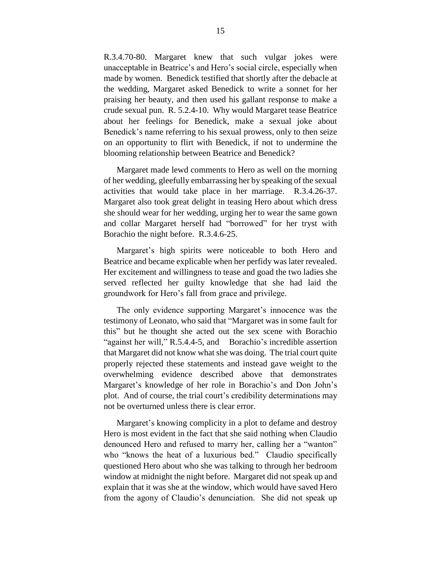R.3.4.70-80. Margaret knew that such vulgar jokes were unacceptable in Beatrice's and Hero's social circle, especially when made by women. Benedick testified that shortly after the debacle at the wedding, Margaret asked Benedick to write a sonnet for her praising her beauty, and then used his gallant response to make a crude sexual pun. R. 5.2.4-10. Why would Margaret tease Beatrice about her feelings for Benedick, make a sexual joke about Benedick's name referring to his sexual prowess, only to then seize on an opportunity to flirt with Benedick, if not to undermine the blooming relationship between Beatrice and Benedick?

Margaret made lewd comments to Hero as well on the morning of her wedding, gleefully embarrassing her by speaking of the sexual activities that would take place in her marriage. R.3.4.26-37. Margaret also took great delight in teasing Hero about which dress she should wear for her wedding, urging her to wear the same gown and collar Margaret herself had "borrowed" for her tryst with Borachio the night before. R.3.4.6-25.

Margaret's high spirits were noticeable to both Hero and Beatrice and became explicable when her perfidy was later revealed. Her excitement and willingness to tease and goad the two ladies she served reflected her guilty knowledge that she had laid the groundwork for Hero's fall from grace and privilege.

The only evidence supporting Margaret's innocence was the testimony of Leonato, who said that "Margaret was in some fault for this" but he thought she acted out the sex scene with Borachio "against her will," R.5.4.4-5, and Borachio's incredible assertion that Margaret did not know what she was doing. The trial court quite properly rejected these statements and instead gave weight to the overwhelming evidence described above that demonstrates Margaret's knowledge of her role in Borachio's and Don John's plot. And of course, the trial court's credibility determinations may not be overturned unless there is clear error.

Margaret's knowing complicity in a plot to defame and destroy Hero is most evident in the fact that she said nothing when Claudio denounced Hero and refused to marry her, calling her a "wanton" who "knows the heat of a luxurious bed." Claudio specifically questioned Hero about who she was talking to through her bedroom window at midnight the night before. Margaret did not speak up and explain that it was she at the window, which would have saved Hero from the agony of Claudio's denunciation. She did not speak up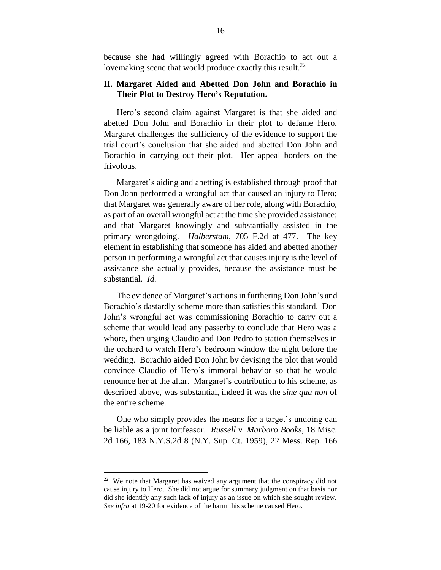because she had willingly agreed with Borachio to act out a lovemaking scene that would produce exactly this result.<sup>22</sup>

### **II. Margaret Aided and Abetted Don John and Borachio in Their Plot to Destroy Hero's Reputation.**

Hero's second claim against Margaret is that she aided and abetted Don John and Borachio in their plot to defame Hero. Margaret challenges the sufficiency of the evidence to support the trial court's conclusion that she aided and abetted Don John and Borachio in carrying out their plot. Her appeal borders on the frivolous.

Margaret's aiding and abetting is established through proof that Don John performed a wrongful act that caused an injury to Hero; that Margaret was generally aware of her role, along with Borachio, as part of an overall wrongful act at the time she provided assistance; and that Margaret knowingly and substantially assisted in the primary wrongdoing. *Halberstam*, 705 F.2d at 477. The key element in establishing that someone has aided and abetted another person in performing a wrongful act that causes injury is the level of assistance she actually provides, because the assistance must be substantial. *Id.*

The evidence of Margaret's actions in furthering Don John's and Borachio's dastardly scheme more than satisfies this standard. Don John's wrongful act was commissioning Borachio to carry out a scheme that would lead any passerby to conclude that Hero was a whore, then urging Claudio and Don Pedro to station themselves in the orchard to watch Hero's bedroom window the night before the wedding. Borachio aided Don John by devising the plot that would convince Claudio of Hero's immoral behavior so that he would renounce her at the altar. Margaret's contribution to his scheme, as described above, was substantial, indeed it was the *sine qua non* of the entire scheme.

One who simply provides the means for a target's undoing can be liable as a joint tortfeasor. *Russell v. Marboro Books*, 18 Misc. 2d 166, 183 N.Y.S.2d 8 (N.Y. Sup. Ct. 1959), 22 Mess. Rep. 166

<sup>&</sup>lt;sup>22</sup> We note that Margaret has waived any argument that the conspiracy did not cause injury to Hero. She did not argue for summary judgment on that basis nor did she identify any such lack of injury as an issue on which she sought review. *See infra* at 19-20 for evidence of the harm this scheme caused Hero.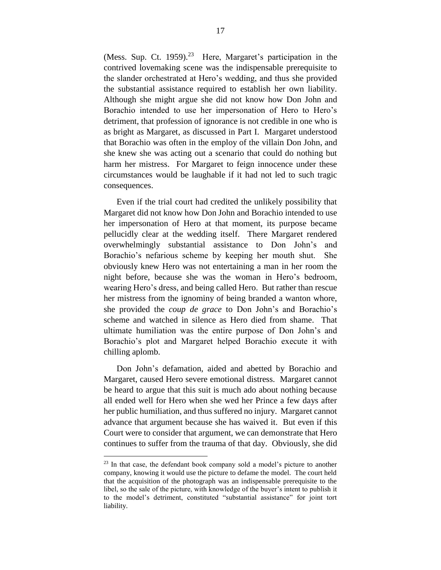(Mess. Sup. Ct. 1959).<sup>23</sup> Here, Margaret's participation in the contrived lovemaking scene was the indispensable prerequisite to the slander orchestrated at Hero's wedding, and thus she provided the substantial assistance required to establish her own liability. Although she might argue she did not know how Don John and Borachio intended to use her impersonation of Hero to Hero's detriment, that profession of ignorance is not credible in one who is as bright as Margaret, as discussed in Part I. Margaret understood that Borachio was often in the employ of the villain Don John, and she knew she was acting out a scenario that could do nothing but harm her mistress. For Margaret to feign innocence under these circumstances would be laughable if it had not led to such tragic consequences.

Even if the trial court had credited the unlikely possibility that Margaret did not know how Don John and Borachio intended to use her impersonation of Hero at that moment, its purpose became pellucidly clear at the wedding itself. There Margaret rendered overwhelmingly substantial assistance to Don John's and Borachio's nefarious scheme by keeping her mouth shut. She obviously knew Hero was not entertaining a man in her room the night before, because she was the woman in Hero's bedroom, wearing Hero's dress, and being called Hero. But rather than rescue her mistress from the ignominy of being branded a wanton whore, she provided the *coup de grace* to Don John's and Borachio's scheme and watched in silence as Hero died from shame. That ultimate humiliation was the entire purpose of Don John's and Borachio's plot and Margaret helped Borachio execute it with chilling aplomb.

Don John's defamation, aided and abetted by Borachio and Margaret, caused Hero severe emotional distress. Margaret cannot be heard to argue that this suit is much ado about nothing because all ended well for Hero when she wed her Prince a few days after her public humiliation, and thus suffered no injury. Margaret cannot advance that argument because she has waived it. But even if this Court were to consider that argument, we can demonstrate that Hero continues to suffer from the trauma of that day. Obviously, she did

 $23$  In that case, the defendant book company sold a model's picture to another company, knowing it would use the picture to defame the model. The court held that the acquisition of the photograph was an indispensable prerequisite to the libel, so the sale of the picture, with knowledge of the buyer's intent to publish it to the model's detriment, constituted "substantial assistance" for joint tort liability.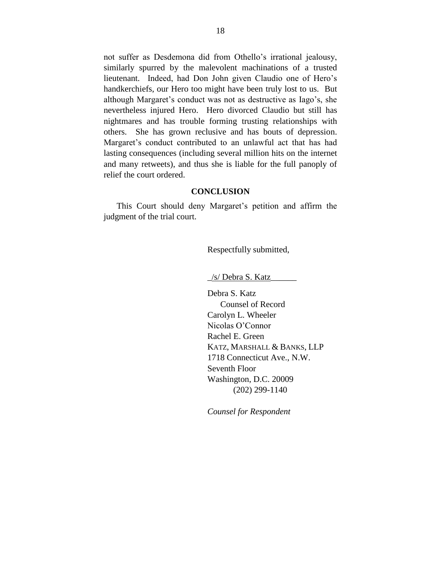not suffer as Desdemona did from Othello's irrational jealousy, similarly spurred by the malevolent machinations of a trusted lieutenant. Indeed, had Don John given Claudio one of Hero's handkerchiefs, our Hero too might have been truly lost to us. But although Margaret's conduct was not as destructive as Iago's, she nevertheless injured Hero. Hero divorced Claudio but still has nightmares and has trouble forming trusting relationships with others. She has grown reclusive and has bouts of depression. Margaret's conduct contributed to an unlawful act that has had lasting consequences (including several million hits on the internet and many retweets), and thus she is liable for the full panoply of relief the court ordered.

#### **CONCLUSION**

This Court should deny Margaret's petition and affirm the judgment of the trial court.

Respectfully submitted,

\_/s/ Debra S. Katz\_\_\_\_\_\_

Debra S. Katz Counsel of Record Carolyn L. Wheeler Nicolas O'Connor Rachel E. Green KATZ, MARSHALL & BANKS, LLP 1718 Connecticut Ave., N.W. Seventh Floor Washington, D.C. 20009 (202) 299-1140

*Counsel for Respondent*